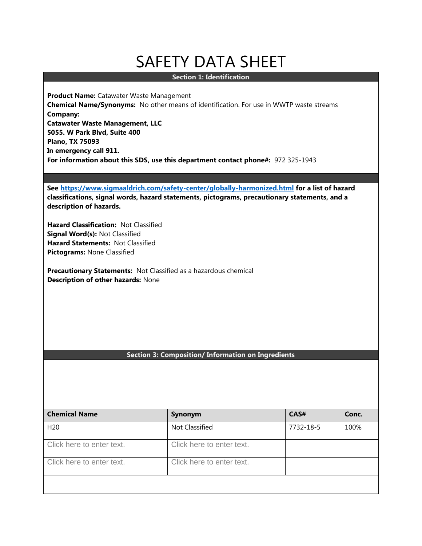# SAFETY DATA SHEET

# **Section 1: Identification**

**Product Name:** Catawater Waste Management **Chemical Name/Synonyms:** No other means of identification. For use in WWTP waste streams **Company: Catawater Waste Management, LLC 5055. W Park Blvd, Suite 400 Plano, TX 75093 In emergency call 911. For information about this SDS, use this department contact phone#:** 972 325-1943

**See <https://www.sigmaaldrich.com/safety-center/globally-harmonized.html> for a list of hazard classifications, signal words, hazard statements, pictograms, precautionary statements, and a description of hazards.**

**Hazard Classification:** Not Classified **Signal Word(s):** Not Classified **Hazard Statements:** Not Classified **Pictograms:** None Classified

**Precautionary Statements:** Not Classified as a hazardous chemical **Description of other hazards:** None

## **Section 3: Composition/ Information on Ingredients**

| <b>Chemical Name</b>      | Synonym                   | CAS#      | Conc. |
|---------------------------|---------------------------|-----------|-------|
| H <sub>20</sub>           | Not Classified            | 7732-18-5 | 100%  |
| Click here to enter text. | Click here to enter text. |           |       |
| Click here to enter text. | Click here to enter text. |           |       |
|                           |                           |           |       |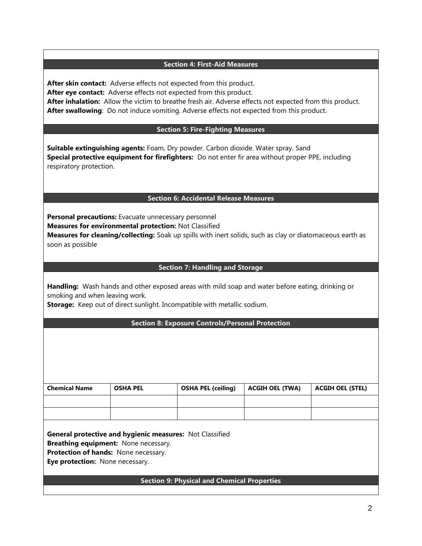## **Section 4: First-Aid Measures**

After skin contact: Adverse effects not expected from this product. **After eye contact:** Adverse effects not expected from this product. **After inhalation:** Allow the victim to breathe fresh air. Adverse effects not expected from this product. **After swallowing**: Do not induce vomiting. Adverse effects not expected from this product.

## **Section 5: Fire-Fighting Measures**

**Suitable extinguishing agents:** Foam, Dry powder. Carbon dioxide. Water spray. Sand **Special protective equipment for firefighters:** Do not enter fir area without proper PPE, including respiratory protection.

## **Section 6: Accidental Release Measures**

**Personal precautions:** Evacuate unnecessary personnel **Measures for environmental protection:** Not Classified **Measures for cleaning/collecting:** Soak up spills with inert solids, such as clay or diatomaceous earth as

## **Section 7: Handling and Storage**

**Handling:** Wash hands and other exposed areas with mild soap and water before eating, drinking or smoking and when leaving work.

**Storage:** Keep out of direct sunlight. Incompatible with metallic sodium.

## **Section 8: Exposure Controls/Personal Protection**

| <b>Chemical Name</b> | <b>OSHA PEL</b> | <b>OSHA PEL (ceiling)</b> | <b>ACGIH OEL (TWA)</b> | <b>ACGIH OEL (STEL)</b> |
|----------------------|-----------------|---------------------------|------------------------|-------------------------|
|                      |                 |                           |                        |                         |
|                      |                 |                           |                        |                         |

**General protective and hygienic measures:** Not Classified

**Breathing equipment:** None necessary.

**Protection of hands:** None necessary.

**Eye protection:** None necessary.

soon as possible

## **Section 9: Physical and Chemical Properties**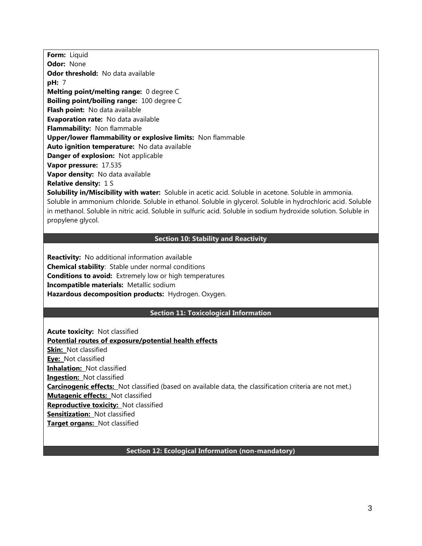**Form:** Liquid **Odor:** None **Odor threshold:** No data available **pH:** 7 **Melting point/melting range:** 0 degree C **Boiling point/boiling range:** 100 degree C **Flash point:** No data available **Evaporation rate:** No data available **Flammability:** Non flammable **Upper/lower flammability or explosive limits:** Non flammable **Auto ignition temperature:** No data available **Danger of explosion:** Not applicable **Vapor pressure:** 17.535 **Vapor density:** No data available **Relative density:** 1 S

**Solubility in/Miscibility with water:** Soluble in acetic acid. Soluble in acetone. Soluble in ammonia. Soluble in ammonium chloride. Soluble in ethanol. Soluble in glycerol. Soluble in hydrochloric acid. Soluble in methanol. Soluble in nitric acid. Soluble in sulfuric acid. Soluble in sodium hydroxide solution. Soluble in propylene glycol.

## **Section 10: Stability and Reactivity**

**Reactivity:** No additional information available **Chemical stability**: Stable under normal conditions **Conditions to avoid:** Extremely low or high temperatures **Incompatible materials:** Metallic sodium **Hazardous decomposition products:** Hydrogen. Oxygen.

#### **Section 11: Toxicological Information**

**Acute toxicity:** Not classified **Potential routes of exposure/potential health effects Skin:** Not classified **Eye:** Not classified **Inhalation:** Not classified **Ingestion:** Not classified **Carcinogenic effects:** Not classified (based on available data, the classification criteria are not met.) **Mutagenic effects:** Not classified **Reproductive toxicity:** Not classified **Sensitization:** Not classified **Target organs:** Not classified

# **Section 12: Ecological Information (non-mandatory)**